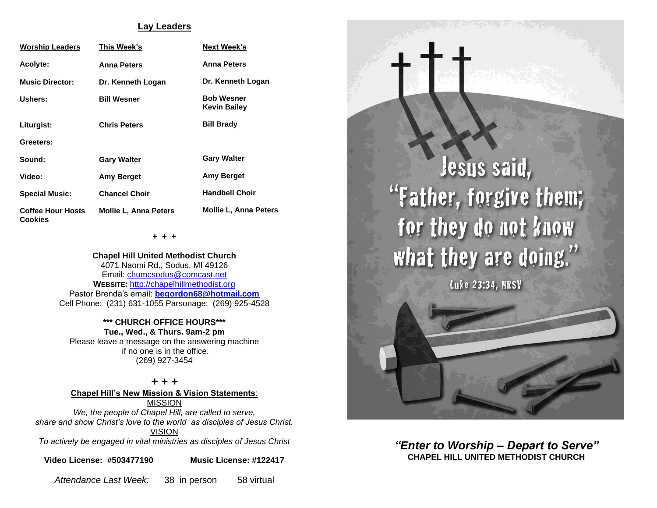### **Lay Leaders**

| <b>Worship Leaders</b>                     | This Week's                  | <b>Next Week's</b>                       |
|--------------------------------------------|------------------------------|------------------------------------------|
| <b>Acolyte:</b>                            | <b>Anna Peters</b>           | <b>Anna Peters</b>                       |
| <b>Music Director:</b>                     | Dr. Kenneth Logan            | Dr. Kenneth Logan                        |
| Ushers:                                    | <b>Bill Wesner</b>           | <b>Bob Wesner</b><br><b>Kevin Bailey</b> |
| Liturgist:                                 | <b>Chris Peters</b>          | <b>Bill Brady</b>                        |
| Greeters:                                  |                              |                                          |
| Sound:                                     | <b>Gary Walter</b>           | <b>Gary Walter</b>                       |
| Video:                                     | Amy Berget                   | Amy Berget                               |
| <b>Special Music:</b>                      | <b>Chancel Choir</b>         | <b>Handbell Choir</b>                    |
| <b>Coffee Hour Hosts</b><br><b>Cookies</b> | <b>Mollie L, Anna Peters</b> | <b>Mollie L. Anna Peters</b>             |

**+ + +**

**Chapel Hill United Methodist Church** 4071 Naomi Rd., Sodus, MI 49126 Email: [chumcsodus@comcast.net](mailto:chumcsodus@comcast.net) **WEBSITE:** [http://chapelhillmethodist.org](http://chapelhillmethodist.org/) Pastor Brenda's email: **[begordon68@hotmail.com](mailto:begordon68@hotmail.com)** Cell Phone: (231) 631-1055 Parsonage: (269) 925-4528

#### **\*\*\* CHURCH OFFICE HOURS\*\*\* Tue., Wed., & Thurs. 9am-2 pm**

Please leave a message on the answering machine if no one is in the office. (269) 927-3454

*+ + +* **Chapel Hill's New Mission & Vision Statements**: MISSION

*We, the people of Chapel Hill, are called to serve, share and show Christ's love to the world as disciples of Jesus Christ.* VISION *To actively be engaged in vital ministries as disciples of Jesus Christ*

**Video License: #503477190 Music License: #122417**

*Attendance Last Week:* 38 in person 58 virtual



*"Enter to Worship – Depart to Serve"* **CHAPEL HILL UNITED METHODIST CHURCH**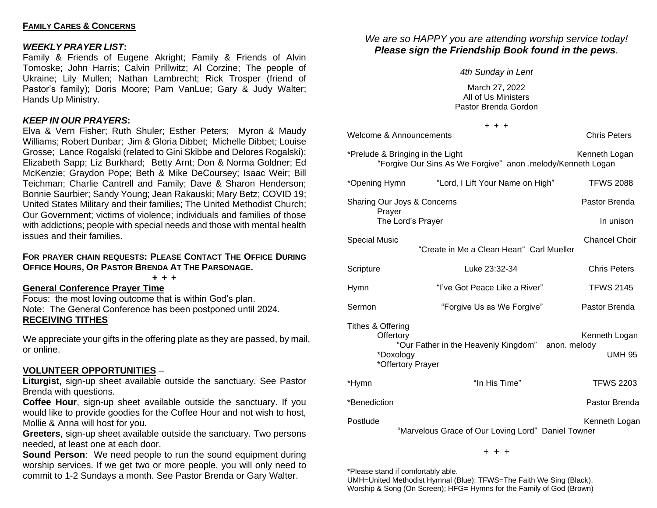### **FAMILY CARES & CONCERNS**

### *WEEKLY PRAYER LIST***:**

Family & Friends of Eugene Akright; Family & Friends of Alvin Tomoske; John Harris; Calvin Prillwitz; Al Corzine; The people of Ukraine; Lily Mullen; Nathan Lambrecht; Rick Trosper (friend of Pastor's family); Doris Moore; Pam VanLue; Gary & Judy Walter; Hands Up Ministry.

### *KEEP IN OUR PRAYERS***:**

Elva & Vern Fisher; Ruth Shuler; Esther Peters; Myron & Maudy Williams; Robert Dunbar; Jim & Gloria Dibbet; Michelle Dibbet; Louise Grosse; Lance Rogalski (related to Gini Skibbe and Delores Rogalski); Elizabeth Sapp; Liz Burkhard; Betty Arnt; Don & Norma Goldner; Ed McKenzie; Graydon Pope; Beth & Mike DeCoursey; Isaac Weir; Bill Teichman; Charlie Cantrell and Family; Dave & Sharon Henderson; Bonnie Saurbier; Sandy Young; Jean Rakauski; Mary Betz; COVID 19; United States Military and their families; The United Methodist Church; Our Government; victims of violence; individuals and families of those with addictions; people with special needs and those with mental health issues and their families.

### **FOR PRAYER CHAIN REQUESTS: PLEASE CONTACT THE OFFICE DURING OFFICE HOURS, OR PASTOR BRENDA AT THE PARSONAGE.**

**+ + +**

# **General Conference Prayer Time**

Focus: the most loving outcome that is within God's plan. Note: The General Conference has been postponed until 2024. **RECEIVING TITHES**

We appreciate your gifts in the offering plate as they are passed, by mail, or online.

# **VOLUNTEER OPPORTUNITIES** –

**Liturgist,** sign-up sheet available outside the sanctuary. See Pastor Brenda with questions.

**Coffee Hour**, sign-up sheet available outside the sanctuary. If you would like to provide goodies for the Coffee Hour and not wish to host, Mollie & Anna will host for you.

**Greeters**, sign-up sheet available outside the sanctuary. Two persons needed, at least one at each door.

**Sound Person:** We need people to run the sound equipment during worship services. If we get two or more people, you will only need to commit to 1-2 Sundays a month. See Pastor Brenda or Gary Walter.

# *We are so HAPPY you are attending worship service today! Please sign the Friendship Book found in the pews.*

#### *4th Sunday in Lent*

March 27, 2022 All of Us Ministers Pastor Brenda Gordon

|                                | $+ + +$                                                                                         |                                |
|--------------------------------|-------------------------------------------------------------------------------------------------|--------------------------------|
|                                | Welcome & Announcements                                                                         | <b>Chris Peters</b>            |
|                                | *Prelude & Bringing in the Light<br>"Forgive Our Sins As We Forgive" anon .melody/Kenneth Logan | Kenneth Logan                  |
| *Opening Hymn                  | "Lord, I Lift Your Name on High"                                                                | <b>TFWS 2088</b>               |
| Sharing Our Joys & Concerns    | Pastor Brenda                                                                                   |                                |
| Prayer                         | The Lord's Prayer                                                                               | In unison                      |
| <b>Special Music</b>           | "Create in Me a Clean Heart" Carl Mueller                                                       | <b>Chancel Choir</b>           |
| Scripture                      | Luke 23:32-34                                                                                   | <b>Chris Peters</b>            |
| Hymn                           | "I've Got Peace Like a River"                                                                   | <b>TFWS 2145</b>               |
| Sermon                         | "Forgive Us as We Forgive"                                                                      | Pastor Brenda                  |
| Tithes & Offering<br>Offertory | "Our Father in the Heavenly Kingdom" anon. melody<br>*Doxology<br>*Offertory Prayer             | Kenneth Logan<br><b>UMH 95</b> |
| *Hymn                          | "In His Time"                                                                                   | <b>TFWS 2203</b>               |
| *Benediction                   |                                                                                                 | Pastor Brenda                  |
| Postlude                       | "Marvelous Grace of Our Loving Lord" Daniel Towner                                              | Kenneth Logan                  |

+ + +

\*Please stand if comfortably able.

UMH=United Methodist Hymnal (Blue); TFWS=The Faith We Sing (Black). Worship & Song (On Screen); HFG= Hymns for the Family of God (Brown)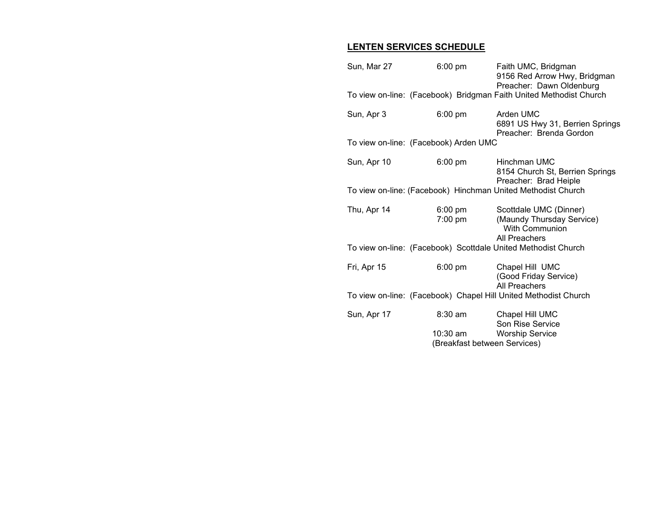# **LENTEN SERVICES SCHEDULE**

| Sun, Mar 27                                                  | $6:00 \text{ pm}$                        | Faith UMC, Bridgman<br>9156 Red Arrow Hwy, Bridgman<br>Preacher: Dawn Oldenburg<br>To view on-line: (Facebook) Bridgman Faith United Methodist Church |  |  |  |
|--------------------------------------------------------------|------------------------------------------|-------------------------------------------------------------------------------------------------------------------------------------------------------|--|--|--|
|                                                              |                                          |                                                                                                                                                       |  |  |  |
| Sun, Apr 3                                                   | $6:00$ pm                                | Arden UMC<br>6891 US Hwy 31, Berrien Springs<br>Preacher: Brenda Gordon                                                                               |  |  |  |
| To view on-line: (Facebook) Arden UMC                        |                                          |                                                                                                                                                       |  |  |  |
| Sun, Apr 10                                                  | $6:00$ pm                                | Hinchman UMC<br>8154 Church St, Berrien Springs<br>Preacher: Brad Heiple                                                                              |  |  |  |
| To view on-line: (Facebook) Hinchman United Methodist Church |                                          |                                                                                                                                                       |  |  |  |
| Thu, Apr 14                                                  | $6:00 \text{ pm}$<br>$7:00$ pm           | Scottdale UMC (Dinner)<br>(Maundy Thursday Service)<br><b>With Communion</b><br>All Preachers                                                         |  |  |  |
|                                                              |                                          | To view on-line: (Facebook) Scottdale United Methodist Church                                                                                         |  |  |  |
| Fri, Apr 15                                                  | $6:00 \text{ pm}$                        | Chapel Hill UMC<br>(Good Friday Service)<br>All Preachers                                                                                             |  |  |  |
|                                                              |                                          | To view on-line: (Facebook) Chapel Hill United Methodist Church                                                                                       |  |  |  |
| Sun, Apr 17                                                  | $8:30$ am                                | Chapel Hill UMC<br>Son Rise Service                                                                                                                   |  |  |  |
|                                                              | 10:30 am<br>(Breakfast between Services) | <b>Worship Service</b>                                                                                                                                |  |  |  |
|                                                              |                                          |                                                                                                                                                       |  |  |  |